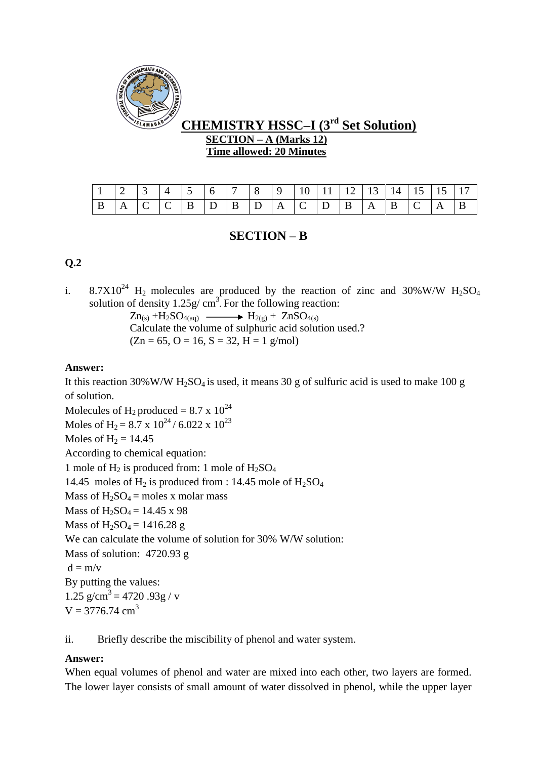

# **CHEMISTRY HSSC–I (3rd Set Solution) SECTION – A (Marks 12) Time allowed: 20 Minutes**

# **SECTION – B**

## **Q.2**

i.  $8.7X10^{24}$  H<sub>2</sub> molecules are produced by the reaction of zinc and 30%W/W H<sub>2</sub>SO<sub>4</sub> solution of density  $1.25g/cm^3$ . For the following reaction:

> $Zn_{(s)}$  +H<sub>2</sub>SO<sub>4(aq)</sub>  $\longrightarrow$  H<sub>2(g)</sub> + ZnSO<sub>4(s)</sub> Calculate the volume of sulphuric acid solution used.?  $(Zn = 65, O = 16, S = 32, H = 1$  g/mol)

## **Answer:**

It this reaction 30%W/W  $H_2SO_4$  is used, it means 30 g of sulfuric acid is used to make 100 g of solution.

Molecules of  $H_2$  produced = 8.7 x  $10^{24}$ Moles of H<sub>2</sub> = 8.7 x 10<sup>24</sup>/6.022 x 10<sup>23</sup> Moles of  $H_2 = 14.45$ According to chemical equation: 1 mole of  $H_2$  is produced from: 1 mole of  $H_2SO_4$ 14.45 moles of  $H_2$  is produced from : 14.45 mole of  $H_2SO_4$ Mass of  $H_2SO_4$  = moles x molar mass Mass of  $H_2SO_4 = 14.45 \text{ x } 98$ Mass of  $H_2SO_4 = 1416.28$  g We can calculate the volume of solution for 30% W/W solution: Mass of solution: 4720.93 g  $d = m/v$ By putting the values: 1.25 g/cm<sup>3</sup> = 4720 .93g / v  $V = 3776.74$  cm<sup>3</sup>

ii. Briefly describe the miscibility of phenol and water system.

## **Answer:**

When equal volumes of phenol and water are mixed into each other, two layers are formed. The lower layer consists of small amount of water dissolved in phenol, while the upper layer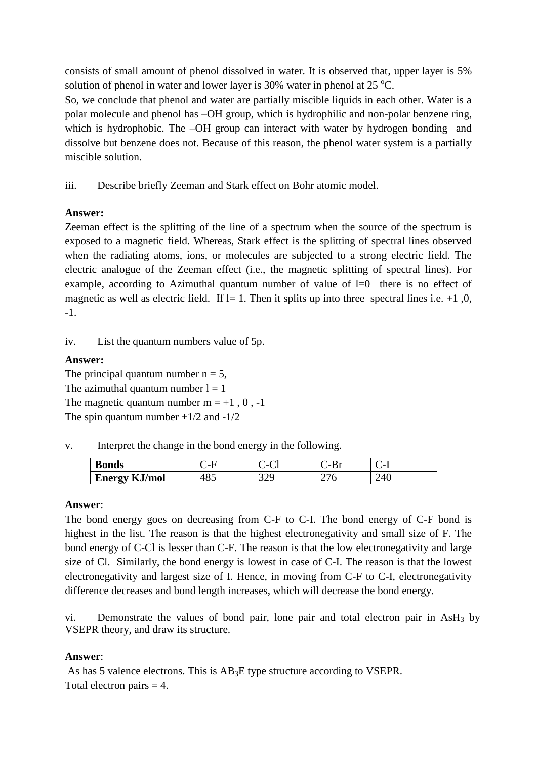consists of small amount of phenol dissolved in water. It is observed that, upper layer is 5% solution of phenol in water and lower layer is 30% water in phenol at 25  $^{\circ}$ C.

So, we conclude that phenol and water are partially miscible liquids in each other. Water is a polar molecule and phenol has –OH group, which is hydrophilic and non-polar benzene ring, which is hydrophobic. The –OH group can interact with water by hydrogen bonding and dissolve but benzene does not. Because of this reason, the phenol water system is a partially miscible solution.

iii. Describe briefly Zeeman and Stark effect on Bohr atomic model.

## **Answer:**

Zeeman effect is the splitting of the line of a spectrum when the source of the spectrum is exposed to a magnetic field. Whereas, Stark effect is the splitting of spectral lines observed when the radiating atoms, ions, or molecules are subjected to a strong electric field. The electric analogue of the Zeeman effect (i.e., the magnetic splitting of spectral lines). For example, according to Azimuthal quantum number of value of  $l=0$  there is no effect of magnetic as well as electric field. If l= 1. Then it splits up into three spectral lines i.e.  $+1$ , 0, -1.

iv. List the quantum numbers value of 5p.

## **Answer:**

The principal quantum number  $n = 5$ , The azimuthal quantum number  $l = 1$ The magnetic quantum number  $m = +1, 0, -1$ The spin quantum number  $+1/2$  and  $-1/2$ 

v. Interpret the change in the bond energy in the following.

| <b>Bonds</b>                         | $-$             | È<br>- 1<br>ີ | - -              | $\sim$          |
|--------------------------------------|-----------------|---------------|------------------|-----------------|
| Vmol<br>Energy<br>- 14<br>IYAN<br>–. | $\Omega$<br>FOJ | ر سه ب        | <b>__</b><br>- 1 | $7\Lambda$<br>- |

## **Answer**:

The bond energy goes on decreasing from C-F to C-I. The bond energy of C-F bond is highest in the list. The reason is that the highest electronegativity and small size of F. The bond energy of C-Cl is lesser than C-F. The reason is that the low electronegativity and large size of Cl. Similarly, the bond energy is lowest in case of C-I. The reason is that the lowest electronegativity and largest size of I. Hence, in moving from C-F to C-I, electronegativity difference decreases and bond length increases, which will decrease the bond energy.

vi. Demonstrate the values of bond pair, lone pair and total electron pair in  $\text{AsH}_3$  by VSEPR theory, and draw its structure.

## **Answer**:

As has 5 valence electrons. This is AB<sub>3</sub>E type structure according to VSEPR. Total electron pairs  $=$  4.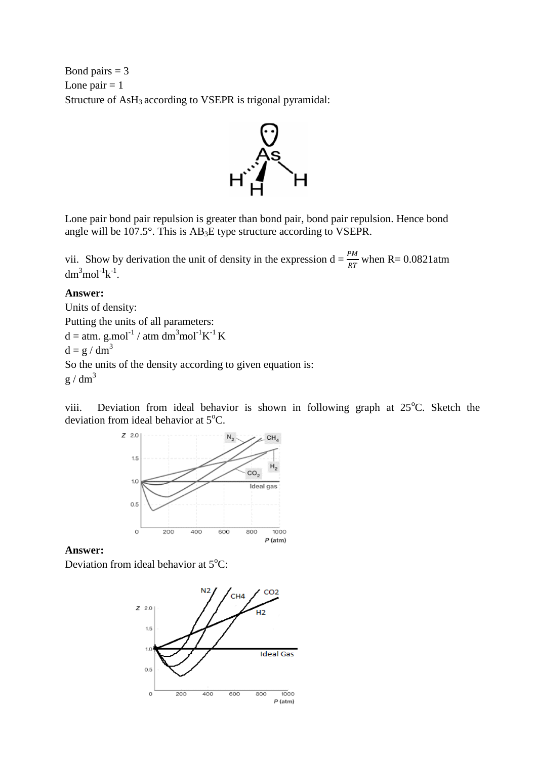Bond pairs  $= 3$ Lone pair  $= 1$ Structure of AsH<sub>3</sub> according to VSEPR is trigonal pyramidal:



Lone pair bond pair repulsion is greater than bond pair, bond pair repulsion. Hence bond angle will be  $107.5^{\circ}$ . This is  $AB_3E$  type structure according to VSEPR.

vii. Show by derivation the unit of density in the expression  $d = \frac{P}{RT}$  when R= 0.0821atm  $dm<sup>3</sup> mol<sup>-1</sup>k<sup>-1</sup>$ .

### **Answer:**

Units of density: Putting the units of all parameters:  $d = atm. g.mol^{-1} / atm dm^3 mol^{-1} K^{-1} K$  $d = g / dm<sup>3</sup>$ So the units of the density according to given equation is:  $g / dm<sup>3</sup>$ 

viii. Deviation from ideal behavior is shown in following graph at  $25^{\circ}$ C. Sketch the deviation from ideal behavior at 5°C.



### **Answer:**

Deviation from ideal behavior at  $5^{\circ}$ C:

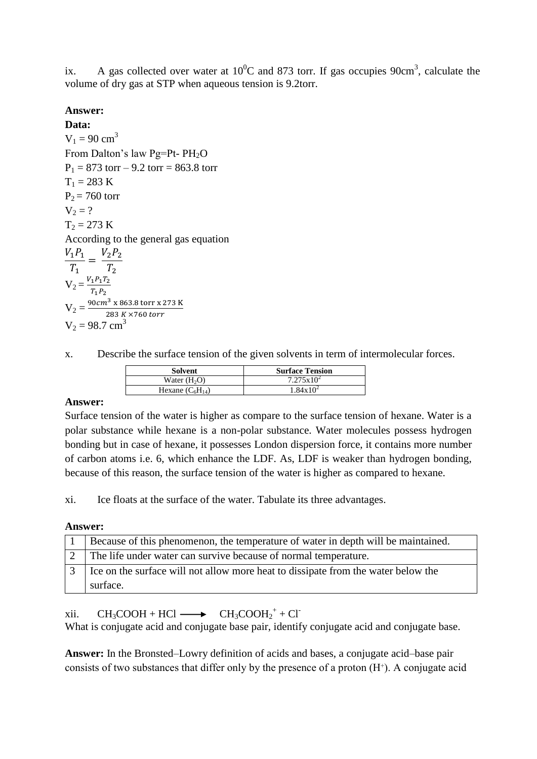ix. A gas collected over water at  $10^{0}$ C and 873 torr. If gas occupies 90cm<sup>3</sup>, calculate the volume of dry gas at STP when aqueous tension is 9.2torr.

## **Answer:**

**Data:**  $V_1 = 90$  cm<sup>3</sup> From Dalton's law Pg=Pt- PH<sub>2</sub>O  $P_1 = 873$  torr – 9.2 torr = 863.8 torr  $T_1 = 283 \text{ K}$  $P_2 = 760$  torr  $V_2 = ?$  $T_2 = 273 K$ According to the general gas equation  $V_{\mathcal{I}}$  $\overline{T}$  $=$ V.  $\overline{T}$  $V_2 = \frac{V_2}{V_1}$  $\overline{T}$  $V_2 = \frac{9}{5}$  $\overline{\mathbf{c}}$  $V_2 = 98.7$  cm<sup>3</sup>

x. Describe the surface tension of the given solvents in term of intermolecular forces.

| Solvent              | <b>Surface Tension</b> |
|----------------------|------------------------|
| Water $(H2O)$        | $7.275 \times 10^2$    |
| Hexane $(C_6H_{14})$ | $1.84 \times 10^{2}$   |

## **Answer:**

Surface tension of the water is higher as compare to the surface tension of hexane. Water is a polar substance while hexane is a non-polar substance. Water molecules possess hydrogen bonding but in case of hexane, it possesses London dispersion force, it contains more number of carbon atoms i.e. 6, which enhance the LDF. As, LDF is weaker than hydrogen bonding, because of this reason, the surface tension of the water is higher as compared to hexane.

xi. Ice floats at the surface of the water. Tabulate its three advantages.

#### **Answer:**

| Because of this phenomenon, the temperature of water in depth will be maintained. |
|-----------------------------------------------------------------------------------|
| The life under water can survive because of normal temperature.                   |
| Ice on the surface will not allow more heat to dissipate from the water below the |
| surface.                                                                          |

xii.  $CH_3COOH + HCl \longrightarrow CH_3COOH_2^+ + Cl$ 

What is conjugate acid and conjugate base pair, identify conjugate acid and conjugate base.

**Answer:** In the Bronsted–Lowry definition of acids and bases, a conjugate acid–base pair consists of two substances that differ only by the presence of a proton  $(H<sup>+</sup>)$ . A conjugate acid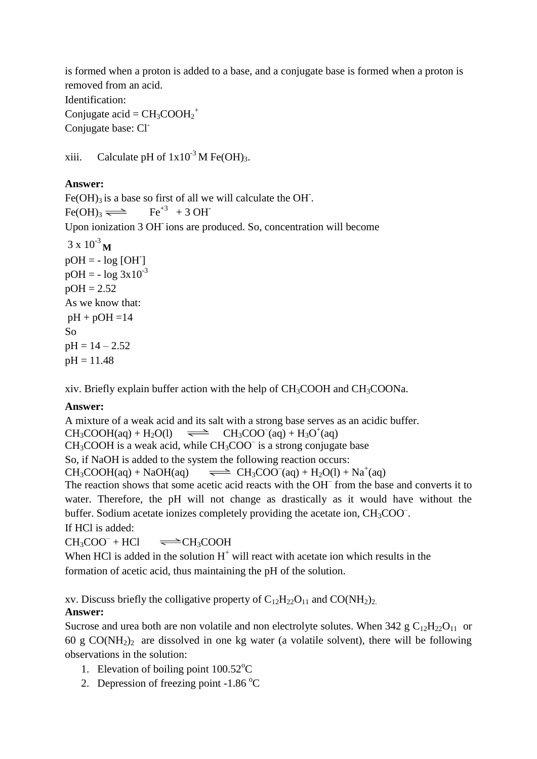is formed when a proton is added to a base, and a conjugate base is formed when a proton is removed from an acid.

Identification: Conjugate acid =  $CH_3COOH_2^+$ Conjugate base: Cl<sup>-</sup>

xiii. Calculate pH of  $1x10^{-3}$  M Fe(OH)<sub>3</sub>.

## **Answer:**

Fe(OH)<sub>3</sub> is a base so first of all we will calculate the OH.  $Fe(OH)<sub>3</sub> \rightleftharpoons$  $Fe<sup>+3</sup> + 3 OH<sup>-</sup>$ Upon ionization 3 OH-ions are produced. So, concentration will become  $3 \times 10^{-3}$  **M**  $pOH = - log [OH^{-}]$  $pOH = - \log 3x10^{-3}$  $pOH = 2.52$ As we know that:  $pH + pOH = 14$ So  $pH = 14 - 2.52$  $pH = 11.48$ 

xiv. Briefly explain buffer action with the help of CH3COOH and CH3COONa.

## **Answer:**

A mixture of a weak acid and its salt with a strong base serves as an acidic buffer.  $CH_3COOH(aq) + H_2O(l) \implies$  $(aq) + H_3O^+(aq)$  $CH<sub>3</sub>COOH$  is a weak acid, while  $CH<sub>3</sub>COO<sup>-</sup>$  is a strong conjugate base So, if NaOH is added to the system the following reaction occurs:  $CH_3COOH(aq) + NaOH(aq)$  $(aq) + H_2O(l) + Na^+(aq)$ The reaction shows that some acetic acid reacts with the OH– from the base and converts it to water. Therefore, the pH will not change as drastically as it would have without the buffer. Sodium acetate ionizes completely providing the acetate ion,  $CH<sub>3</sub>COO<sup>-</sup>$ . If HCl is added:

 $CH<sub>3</sub>COO<sup>-</sup> + HCl$  $\rightleftharpoons$  CH<sub>3</sub>COOH

When HCl is added in the solution  $H^+$  will react with acetate ion which results in the formation of acetic acid, thus maintaining the pH of the solution.

xv. Discuss briefly the colligative property of  $C_{12}H_{22}O_{11}$  and  $CO(NH_2)_{21}$ .

## **Answer:**

Sucrose and urea both are non volatile and non electrolyte solutes. When  $342$  g  $C_{12}H_{22}O_{11}$  or 60 g  $CO(NH<sub>2</sub>)<sub>2</sub>$  are dissolved in one kg water (a volatile solvent), there will be following observations in the solution:

- 1. Elevation of boiling point  $100.52^{\circ}$ C
- 2. Depression of freezing point  $-1.86 \degree C$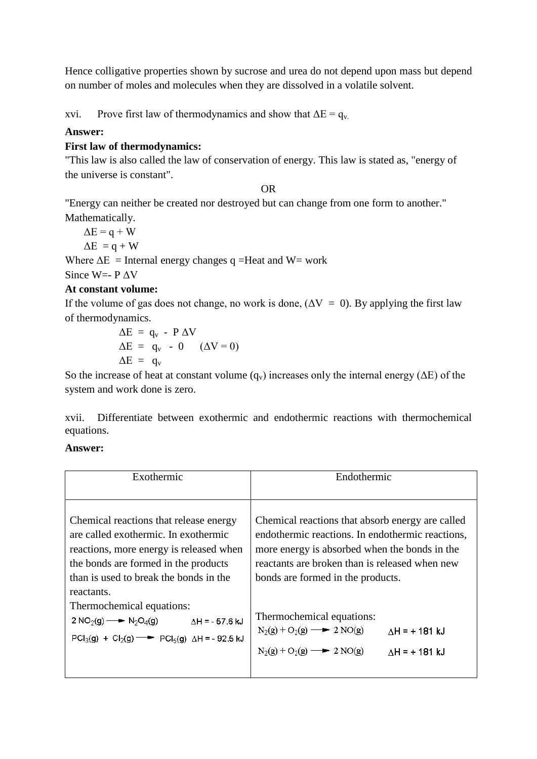Hence colligative properties shown by sucrose and urea do not depend upon mass but depend on number of moles and molecules when they are dissolved in a volatile solvent.

xvi. Prove first law of thermodynamics and show that  $\Delta E = q_v$ .

## **Answer:**

## **First law of thermodynamics:**

"This law is also called the law of conservation of energy. This law is stated as, "energy of the universe is constant".

OR

"Energy can neither be created nor destroyed but can change from one form to another." Mathematically.

 $\Delta E = q + W$ 

 $\Delta E = q + W$ 

Where  $\Delta E$  = Internal energy changes q =Heat and W= work

Since W=- P ΔV

## **At constant volume:**

If the volume of gas does not change, no work is done,  $(\Delta V = 0)$ . By applying the first law of thermodynamics.

$$
\Delta E = q_v - P \Delta V
$$
  
\n
$$
\Delta E = q_v - 0 \quad (\Delta V = 0)
$$
  
\n
$$
\Delta E = q_v
$$

So the increase of heat at constant volume  $(q_v)$  increases only the internal energy ( $\Delta E$ ) of the system and work done is zero.

xvii. Differentiate between exothermic and endothermic reactions with thermochemical equations.

## **Answer:**

| Exothermic                                                          | Endothermic                                      |
|---------------------------------------------------------------------|--------------------------------------------------|
| Chemical reactions that release energy                              | Chemical reactions that absorb energy are called |
| are called exothermic. In exothermic                                | endothermic reactions. In endothermic reactions, |
| reactions, more energy is released when                             | more energy is absorbed when the bonds in the    |
| the bonds are formed in the products                                | reactants are broken than is released when new   |
| than is used to break the bonds in the                              | bonds are formed in the products.                |
| reactants.                                                          | Thermochemical equations:                        |
| Thermochemical equations:                                           | $N_2(g) + O_2(g)$ - 2 NO(g)                      |
| $2 \text{ NO}_2(g) \longrightarrow N_2\text{O}_4(g)$                | $AH = +181$ kJ                                   |
| $\Delta H = -57.6$ kJ                                               | $N_2(g) + O_2(g)$ - 2 NO(g)                      |
| $PCl_3(g) + Cl_2(g) \longrightarrow PCl_5(g)$ $\Delta H = -92.5$ kJ | $AH = +181$ kJ                                   |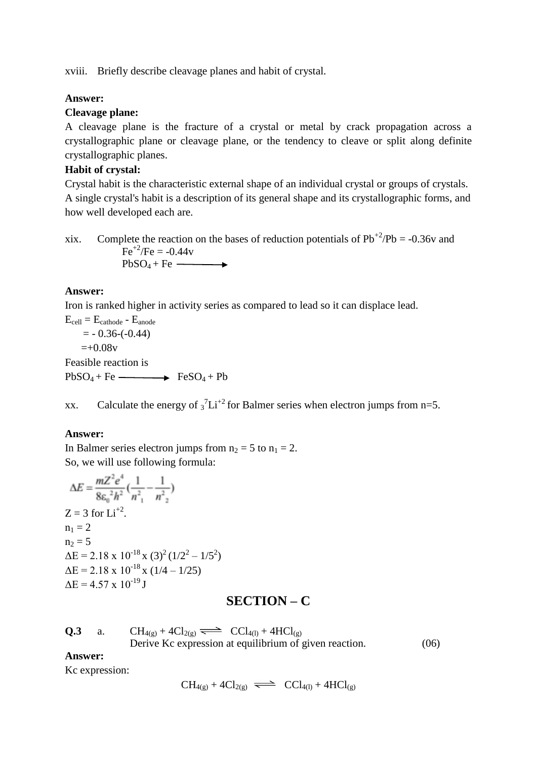xviii. Briefly describe cleavage planes and habit of crystal.

### **Answer:**

### **Cleavage plane:**

A cleavage plane is the fracture of a crystal or metal by crack propagation across a crystallographic plane or cleavage plane, or the tendency to cleave or split along definite crystallographic planes.

## **Habit of crystal:**

Crystal habit is the characteristic external shape of an individual crystal or groups of crystals. A single crystal's habit is a description of its general shape and its crystallographic forms, and how well developed each are.

xix. Complete the reaction on the bases of reduction potentials of  $Pb^{+2}/Pb = -0.36v$  and  $Fe^{+2}/Fe = -0.44v$  $PbSO_4 + Fe \longrightarrow$ 

### **Answer:**

Iron is ranked higher in activity series as compared to lead so it can displace lead.

 $E_{cell} = E_{cathode} - E_{anode}$  $= -0.36(-0.44)$  $=+0.08v$ Feasible reaction is  $PbSO_4 + Fe \longrightarrow$  FeSO<sub>4</sub> + Pb

xx. Calculate the energy of  $\frac{1}{3}$ Li<sup>+2</sup> for Balmer series when electron jumps from n=5.

#### **Answer:**

In Balmer series electron jumps from  $n_2 = 5$  to  $n_1 = 2$ . So, we will use following formula:

$$
\Delta E = \frac{mZ^2e^4}{8\epsilon_0^2h^2} \left(\frac{1}{n_{1}^2} - \frac{1}{n_{2}^2}\right)
$$
  
\nZ = 3 for Li<sup>+2</sup>.  
\n
$$
n_1 = 2
$$
  
\n
$$
n_2 = 5
$$
  
\n
$$
\Delta E = 2.18 \times 10^{-18} \times (3)^2 (1/2^2 - 1/5^2)
$$
  
\n
$$
\Delta E = 2.18 \times 10^{-18} \times (1/4 - 1/25)
$$
  
\n
$$
\Delta E = 4.57 \times 10^{-19} \text{ J}
$$

## **SECTION – C**

| Q.3 | $CH_{4(g)} + 4Cl_{2(g)} \implies CCl_{4(l)} + 4HCl_{(g)}$ |      |
|-----|-----------------------------------------------------------|------|
|     | Derive Kc expression at equilibrium of given reaction.    | (06) |

#### **Answer:**

Kc expression:

$$
CH_{4(g)} + 4Cl_{2(g)} \implies CCl_{4(l)} + 4HCl_{(g)}
$$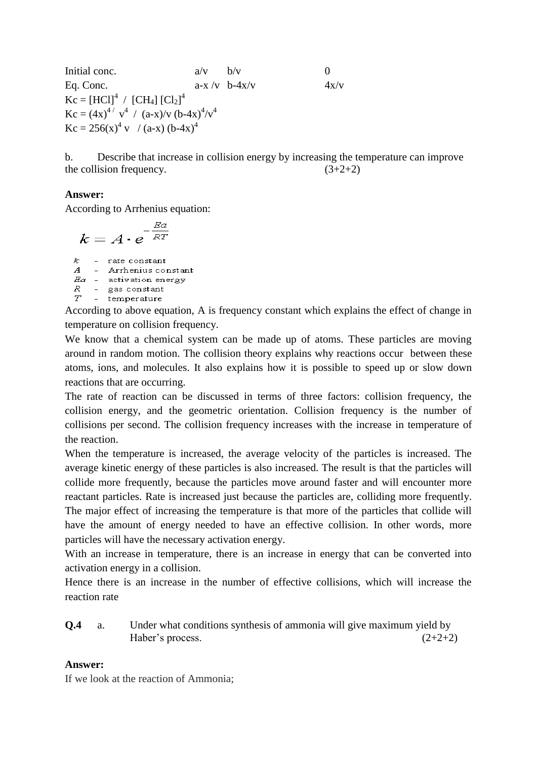Initial conc.  $a/v$  b/v 0 Eq. Conc.  $a-x/v$  b-4x/v  $4x/v$  $Kc = [HCl]<sup>4</sup> / [CH<sub>4</sub>] [Cl<sub>2</sub>]<sup>4</sup>$  $Kc = (4x)^{4/2} v^4 / (a-x)/v (b-4x)^{4}/v^4$  $Kc = 256(x)^4$  v / (a-x) (b-4x)<sup>4</sup>

b. Describe that increase in collision energy by increasing the temperature can improve the collision frequency.  $(3+2+2)$ 

## **Answer:**

According to Arrhenius equation:

$$
k = A \cdot e^{-\frac{Ea}{RT}}
$$

 $k^-$ - rate constant  $\mathcal{A}$ - Arrhenius constant  $Ea$  - activation energy  $\begin{tabular}{ccc} $R$ & - gas constant \\ $T$ & - temperature \\ \end{tabular}$ 

According to above equation, A is frequency constant which explains the effect of change in temperature on collision frequency.

We know that a chemical system can be made up of atoms. These particles are moving around in random motion. The collision theory explains why reactions occur between these atoms, ions, and molecules. It also explains how it is possible to speed up or slow down reactions that are occurring.

The rate of reaction can be discussed in terms of three factors: collision frequency, the collision energy, and the geometric orientation. Collision frequency is the number of collisions per second. The collision frequency increases with the increase in temperature of the reaction.

When the temperature is increased, the average velocity of the particles is increased. The average kinetic energy of these particles is also increased. The result is that the particles will collide more frequently, because the particles move around faster and will encounter more reactant particles. Rate is increased just because the particles are, colliding more frequently. The major effect of increasing the temperature is that more of the particles that collide will have the amount of energy needed to have an effective collision. In other words, more particles will have the necessary activation energy.

With an increase in temperature, there is an increase in energy that can be converted into activation energy in a collision.

Hence there is an increase in the number of effective collisions, which will increase the reaction rate

**Q.4** a. Under what conditions synthesis of ammonia will give maximum yield by Haber's process.  $(2+2+2)$ 

#### **Answer:**

If we look at the reaction of Ammonia;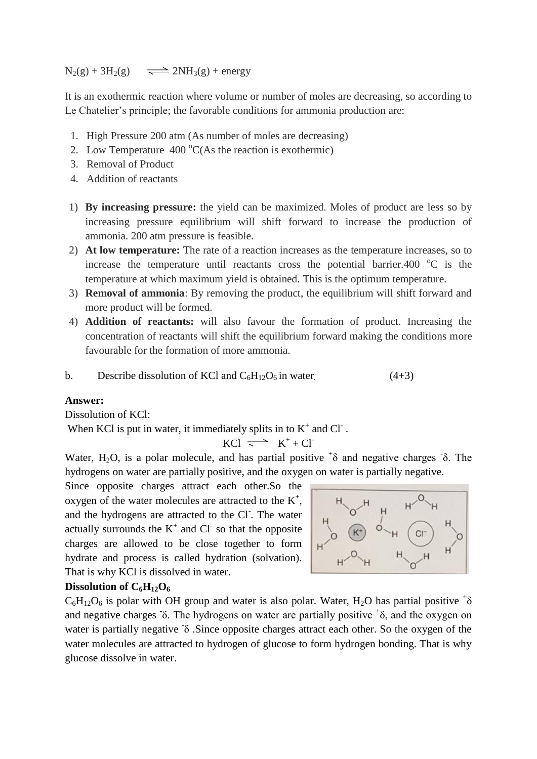$N_2(g) + 3H_2(g)$   $\implies$   $2NH_3(g) + energy$ 

It is an exothermic reaction where volume or number of moles are decreasing, so according to Le Chatelier's principle; the favorable conditions for ammonia production are:

- 1. High Pressure 200 atm (As number of moles are decreasing)
- 2. Low Temperature  $400^{\circ}$ C(As the reaction is exothermic)
- 3. Removal of Product
- 4. Addition of reactants
- 1) **By increasing pressure:** the yield can be maximized. Moles of product are less so by increasing pressure equilibrium will shift forward to increase the production of ammonia. 200 atm pressure is feasible.
- 2) **At low temperature:** The rate of a reaction increases as the temperature increases, so to increase the temperature until reactants cross the potential barrier.400  $^{\circ}$ C is the temperature at which maximum yield is obtained. This is the optimum temperature.
- 3) **Removal of ammonia**: By removing the product, the equilibrium will shift forward and more product will be formed.
- 4) **Addition of reactants:** will also favour the formation of product. Increasing the concentration of reactants will shift the equilibrium forward making the conditions more favourable for the formation of more ammonia.

b. Describe dissolution of KCl and 
$$
C_6H_{12}O_6
$$
 in water. (4+3)

### **Answer:**

Dissolution of KCl:

When KCl is put in water, it immediately splits in to  $K^+$  and Cl  $\overline{\phantom{a}}$ .

$$
KCl \implies K^+ + Cl^-
$$

Water, H<sub>2</sub>O, is a polar molecule, and has partial positive  $\pm$  and negative charges  $\delta$ . The hydrogens on water are partially positive, and the oxygen on water is partially negative.

Since opposite charges attract each other.So the oxygen of the water molecules are attracted to the  $K^+$ , and the hydrogens are attracted to the Cl. The water actually surrounds the  $K^+$  and Cl<sup>-</sup> so that the opposite charges are allowed to be close together to form hydrate and process is called hydration (solvation). That is why KCl is dissolved in water.



#### **Dissolution of C6H12O<sup>6</sup>**

 $C_6H_{12}O_6$  is polar with OH group and water is also polar. Water, H<sub>2</sub>O has partial positive  ${}^+\delta$ and negative charges  $\delta$ . The hydrogens on water are partially positive  $\delta$ , and the oxygen on water is partially negative δ .Since opposite charges attract each other. So the oxygen of the water molecules are attracted to hydrogen of glucose to form hydrogen bonding. That is why glucose dissolve in water.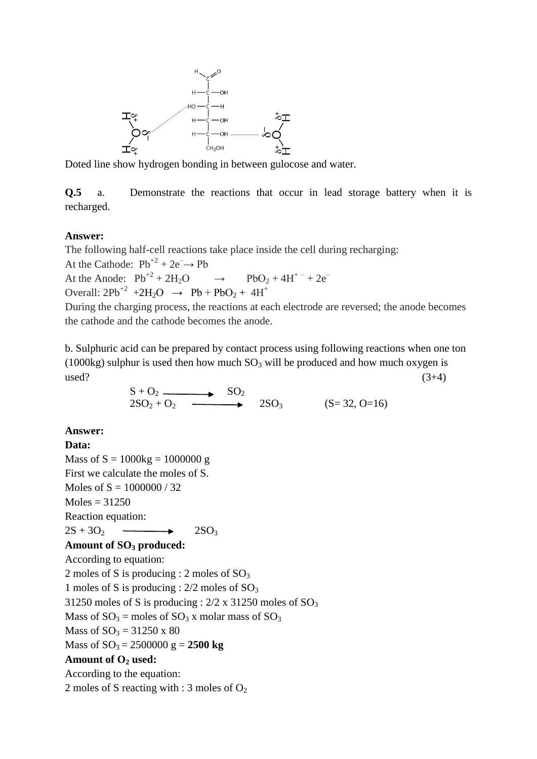

Doted line show hydrogen bonding in between gulocose and water.

**Q.5** a. Demonstrate the reactions that occur in lead storage battery when it is recharged.

### **Answer:**

The following half-cell reactions take place inside the cell during recharging: At the Cathode:  $Pb^{+2} + 2e^- \rightarrow Pb$ 

At the Anode:  $Pb^{+2} + 2H_2O$  $\rightarrow$  PbO<sub>2</sub> + 4H<sup>+-</sup> + 2e<sup>-</sup> Overall:  $2Pb^{2} + 2H_2O \rightarrow Pb + PbO_2 + 4H^+$ 

During the charging process, the reactions at each electrode are reversed; the anode becomes the cathode and the cathode becomes the anode.

b. Sulphuric acid can be prepared by contact process using following reactions when one ton (1000kg) sulphur is used then how much  $SO_3$  will be produced and how much oxygen is  $used?$  (3+4)

$$
S + O2 \longrightarrow SO2 2SO2 + O2 \longrightarrow SO3 (S=32, O=16)
$$

#### **Answer:**

#### **Data:**

Mass of  $S = 1000kg = 1000000g$ First we calculate the moles of S. Moles of  $S = 1000000 / 32$  $Moles = 31250$ Reaction equation:  $2S + 3O<sub>2</sub>$  2SO<sub>3</sub> **Amount of SO<sup>3</sup> produced:** According to equation: 2 moles of S is producing : 2 moles of  $SO<sub>3</sub>$ 1 moles of S is producing :  $2/2$  moles of  $SO_3$ 31250 moles of S is producing :  $2/2 \times 31250$  moles of  $SO_3$ Mass of  $SO_3$  = moles of  $SO_3$  x molar mass of  $SO_3$ Mass of  $SO_3 = 31250 \times 80$ Mass of  $SO_3 = 2500000$  g = 2500 kg **Amount of O<sup>2</sup> used:** According to the equation: 2 moles of S reacting with : 3 moles of  $O_2$